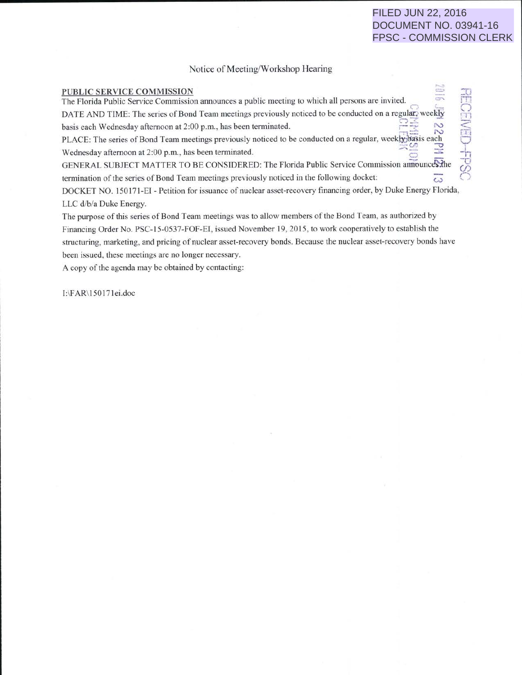# FILED JUN 22, 2016 DOCUMENT NO. 03941-16 FPSC - COMMISSION CLERK

#### Notice of Meeting/Workshop Hearing

#### PUBLIC SERVICE COMMISSION The Florida Public Service Commission announces a public meeting to which all persons are invited. DATE AND TIME: The series of Bond Team meetings previously noticed to be conducted on a regular-weekly basis each Wednesday afternoon at 2:00 p.m., has been terminated. PLACE: The series of Bond Team meetings previously noticed to be conducted on a regular, weekhybasis each Wednesday afternoon at 2:00 p.m., has been terminated. GENERAL SUBJECT MATTER TO BE CONSIDERED: The Florida Public Service Commission announces: the termination of the series of Bond Team meetings previously noticed in the following docket:  $\overline{\omega}$ DOCKET NO. 150171-EI - Petition for issuance of nuclear asset-recovery financing order, by Duke Energy Florida, h  $\mathbf{H}$  $\leq$ **ASSESS**  $\overline{\phantom{0}}$ -h ng t  $\omega$  $\cup$

LLC d/b/a Duke Energy.

The purpose of this series of Bond Team meetings was to allow members of the Bond Team, as authorized by Financing Order No. PSC-15-0537-FOF-El, issued November 19, 2015, to work cooperatively to establish the structuring, marketing. and pricing of nuclear asset-recovery bonds. Because the nuclear asset-recovery bonds have been issued, these meetings are no longer necessary.

A copy of the agenda may be obtained by contacting:

J:\FAR\ 150171ei.doc